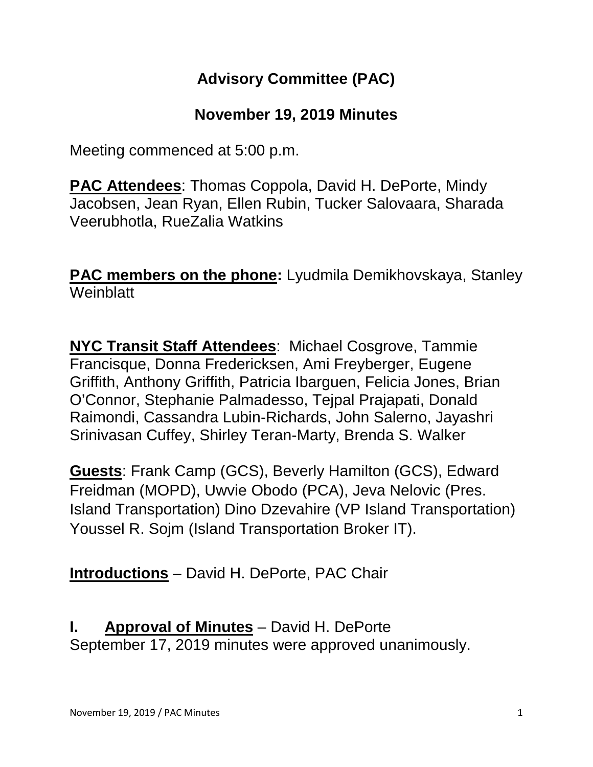# **Advisory Committee (PAC)**

## **November 19, 2019 Minutes**

Meeting commenced at 5:00 p.m.

**PAC Attendees**: Thomas Coppola, David H. DePorte, Mindy Jacobsen, Jean Ryan, Ellen Rubin, Tucker Salovaara, Sharada Veerubhotla, RueZalia Watkins

**PAC members on the phone:** Lyudmila Demikhovskaya, Stanley **Weinblatt** 

**NYC Transit Staff Attendees**: Michael Cosgrove, Tammie Francisque, Donna Fredericksen, Ami Freyberger, Eugene Griffith, Anthony Griffith, Patricia Ibarguen, Felicia Jones, Brian O'Connor, Stephanie Palmadesso, Tejpal Prajapati, Donald Raimondi, Cassandra Lubin-Richards, John Salerno, Jayashri Srinivasan Cuffey, Shirley Teran-Marty, Brenda S. Walker

**Guests**: Frank Camp (GCS), Beverly Hamilton (GCS), Edward Freidman (MOPD), Uwvie Obodo (PCA), Jeva Nelovic (Pres. Island Transportation) Dino Dzevahire (VP Island Transportation) Youssel R. Sojm (Island Transportation Broker IT).

**Introductions** – David H. DePorte, PAC Chair

**I. Approval of Minutes** – David H. DePorte September 17, 2019 minutes were approved unanimously.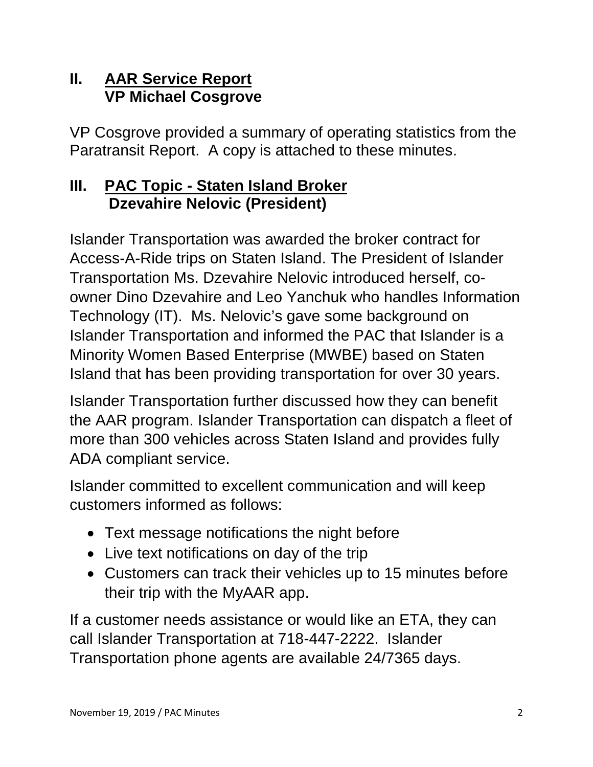#### **II. AAR Service Report VP Michael Cosgrove**

VP Cosgrove provided a summary of operating statistics from the Paratransit Report. A copy is attached to these minutes.

#### **III. PAC Topic - Staten Island Broker Dzevahire Nelovic (President)**

Islander Transportation was awarded the broker contract for Access-A-Ride trips on Staten Island. The President of Islander Transportation Ms. Dzevahire Nelovic introduced herself, coowner Dino Dzevahire and Leo Yanchuk who handles Information Technology (IT). Ms. Nelovic's gave some background on Islander Transportation and informed the PAC that Islander is a Minority Women Based Enterprise (MWBE) based on Staten Island that has been providing transportation for over 30 years.

Islander Transportation further discussed how they can benefit the AAR program. Islander Transportation can dispatch a fleet of more than 300 vehicles across Staten Island and provides fully ADA compliant service.

Islander committed to excellent communication and will keep customers informed as follows:

- Text message notifications the night before
- Live text notifications on day of the trip
- Customers can track their vehicles up to 15 minutes before their trip with the MyAAR app.

If a customer needs assistance or would like an ETA, they can call Islander Transportation at 718-447-2222. Islander Transportation phone agents are available 24/7365 days.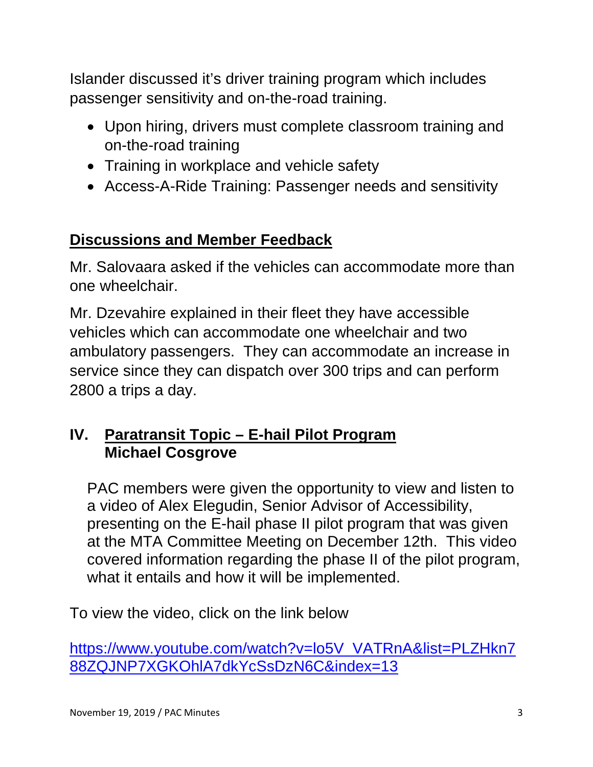Islander discussed it's driver training program which includes passenger sensitivity and on-the-road training.

- Upon hiring, drivers must complete classroom training and on-the-road training
- Training in workplace and vehicle safety
- Access-A-Ride Training: Passenger needs and sensitivity

# **Discussions and Member Feedback**

Mr. Salovaara asked if the vehicles can accommodate more than one wheelchair.

Mr. Dzevahire explained in their fleet they have accessible vehicles which can accommodate one wheelchair and two ambulatory passengers. They can accommodate an increase in service since they can dispatch over 300 trips and can perform 2800 a trips a day.

## **IV. Paratransit Topic – E-hail Pilot Program Michael Cosgrove**

PAC members were given the opportunity to view and listen to a video of Alex Elegudin, Senior Advisor of Accessibility, presenting on the E-hail phase II pilot program that was given at the MTA Committee Meeting on December 12th. This video covered information regarding the phase II of the pilot program, what it entails and how it will be implemented.

To view the video, click on the link below

[https://www.youtube.com/watch?v=lo5V\\_VATRnA&list=PLZHkn7](https://www.youtube.com/watch?v=lo5V_VATRnA&list=PLZHkn788ZQJNP7XGKOhlA7dkYcSsDzN6C&index=13) [88ZQJNP7XGKOhlA7dkYcSsDzN6C&index=13](https://www.youtube.com/watch?v=lo5V_VATRnA&list=PLZHkn788ZQJNP7XGKOhlA7dkYcSsDzN6C&index=13)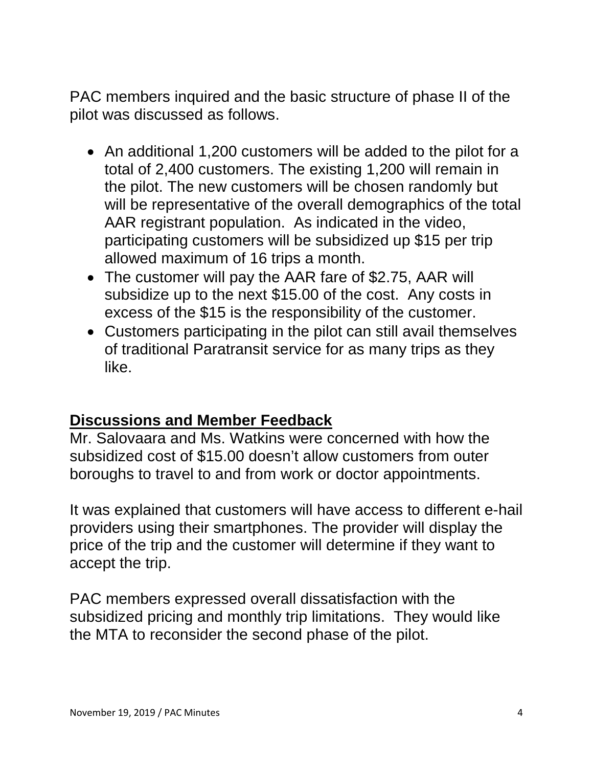PAC members inquired and the basic structure of phase II of the pilot was discussed as follows.

- An additional 1,200 customers will be added to the pilot for a total of 2,400 customers. The existing 1,200 will remain in the pilot. The new customers will be chosen randomly but will be representative of the overall demographics of the total AAR registrant population. As indicated in the video, participating customers will be subsidized up \$15 per trip allowed maximum of 16 trips a month.
- The customer will pay the AAR fare of \$2.75, AAR will subsidize up to the next \$15.00 of the cost. Any costs in excess of the \$15 is the responsibility of the customer.
- Customers participating in the pilot can still avail themselves of traditional Paratransit service for as many trips as they like.

#### **Discussions and Member Feedback**

Mr. Salovaara and Ms. Watkins were concerned with how the subsidized cost of \$15.00 doesn't allow customers from outer boroughs to travel to and from work or doctor appointments.

It was explained that customers will have access to different e-hail providers using their smartphones. The provider will display the price of the trip and the customer will determine if they want to accept the trip.

PAC members expressed overall dissatisfaction with the subsidized pricing and monthly trip limitations. They would like the MTA to reconsider the second phase of the pilot.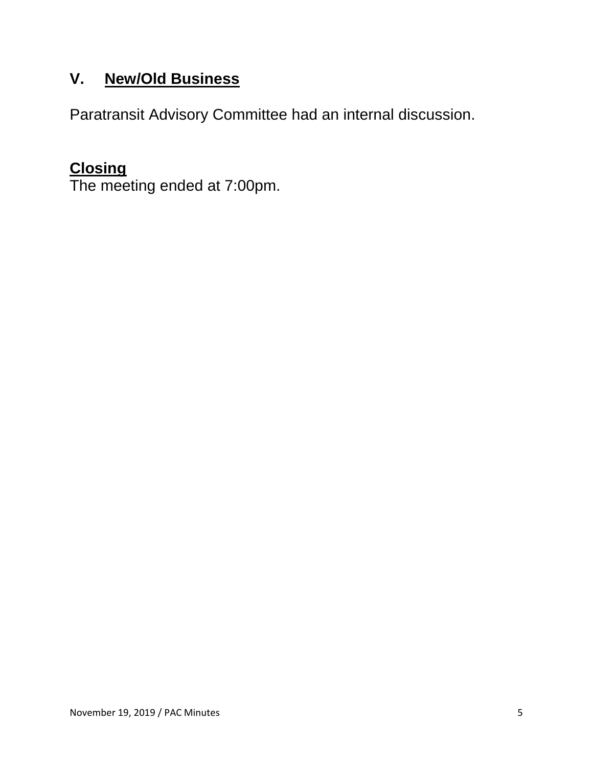# **V. New/Old Business**

Paratransit Advisory Committee had an internal discussion.

### **Closing**

The meeting ended at 7:00pm.